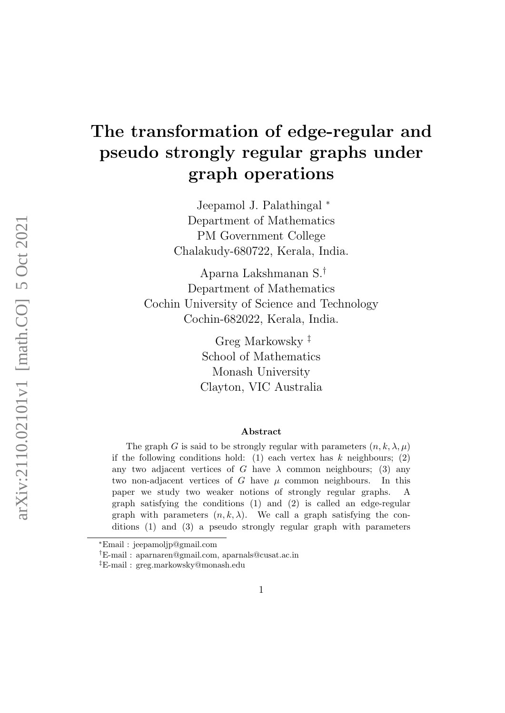# The transformation of edge-regular and pseudo strongly regular graphs under graph operations

Jeepamol J. Palathingal <sup>∗</sup> Department of Mathematics PM Government College Chalakudy-680722, Kerala, India.

Aparna Lakshmanan S.† Department of Mathematics Cochin University of Science and Technology Cochin-682022, Kerala, India.

> Greg Markowsky ‡ School of Mathematics Monash University Clayton, VIC Australia

#### Abstract

The graph G is said to be strongly regular with parameters  $(n, k, \lambda, \mu)$ if the following conditions hold: (1) each vertex has  $k$  neighbours; (2) any two adjacent vertices of G have  $\lambda$  common neighbours; (3) any two non-adjacent vertices of G have  $\mu$  common neighbours. In this paper we study two weaker notions of strongly regular graphs. A graph satisfying the conditions (1) and (2) is called an edge-regular graph with parameters  $(n, k, \lambda)$ . We call a graph satisfying the conditions (1) and (3) a pseudo strongly regular graph with parameters

<sup>∗</sup>Email : jeepamoljp@gmail.com

<sup>†</sup>E-mail : aparnaren@gmail.com, aparnals@cusat.ac.in

<sup>‡</sup>E-mail : greg.markowsky@monash.edu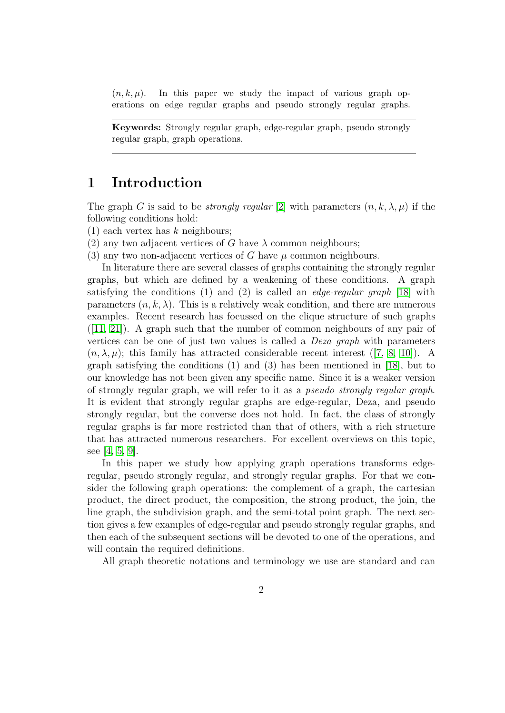$(n, k, \mu)$ . In this paper we study the impact of various graph operations on edge regular graphs and pseudo strongly regular graphs.

Keywords: Strongly regular graph, edge-regular graph, pseudo strongly regular graph, graph operations.

### 1 Introduction

The graph G is said to be *strongly regular* [\[2\]](#page-10-0) with parameters  $(n, k, \lambda, \mu)$  if the following conditions hold:

- $(1)$  each vertex has k neighbours;
- (2) any two adjacent vertices of G have  $\lambda$  common neighbours;

(3) any two non-adjacent vertices of G have  $\mu$  common neighbours.

In literature there are several classes of graphs containing the strongly regular graphs, but which are defined by a weakening of these conditions. A graph satisfying the conditions (1) and (2) is called an *edge-regular graph* [\[18\]](#page-11-0) with parameters  $(n, k, \lambda)$ . This is a relatively weak condition, and there are numerous examples. Recent research has focussed on the clique structure of such graphs ([\[11,](#page-11-1) [21\]](#page-11-2)). A graph such that the number of common neighbours of any pair of vertices can be one of just two values is called a Deza graph with parameters  $(n, \lambda, \mu)$ ; this family has attracted considerable recent interest ([\[7,](#page-10-1) [8,](#page-11-3) [10\]](#page-11-4)). A graph satisfying the conditions (1) and (3) has been mentioned in [\[18\]](#page-11-0), but to our knowledge has not been given any specific name. Since it is a weaker version of strongly regular graph, we will refer to it as a pseudo strongly regular graph. It is evident that strongly regular graphs are edge-regular, Deza, and pseudo strongly regular, but the converse does not hold. In fact, the class of strongly regular graphs is far more restricted than that of others, with a rich structure that has attracted numerous researchers. For excellent overviews on this topic, see [\[4,](#page-10-2) [5,](#page-10-3) [9\]](#page-11-5).

In this paper we study how applying graph operations transforms edgeregular, pseudo strongly regular, and strongly regular graphs. For that we consider the following graph operations: the complement of a graph, the cartesian product, the direct product, the composition, the strong product, the join, the line graph, the subdivision graph, and the semi-total point graph. The next section gives a few examples of edge-regular and pseudo strongly regular graphs, and then each of the subsequent sections will be devoted to one of the operations, and will contain the required definitions.

All graph theoretic notations and terminology we use are standard and can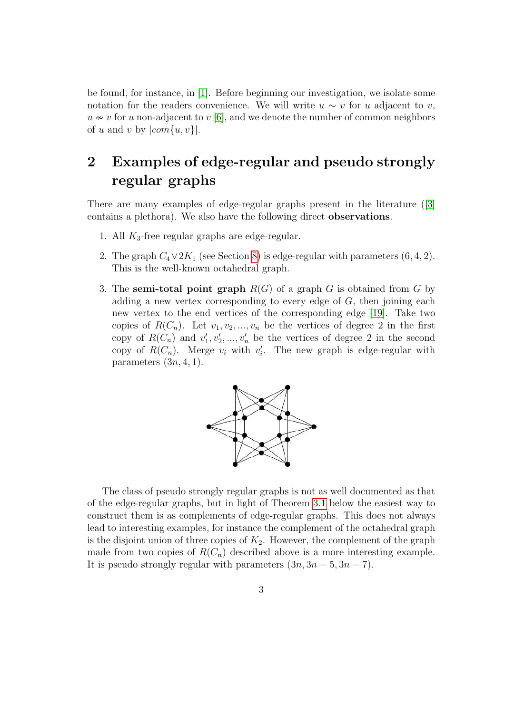be found, for instance, in [\[1\]](#page-10-4). Before beginning our investigation, we isolate some notation for the readers convenience. We will write  $u \sim v$  for u adjacent to v,  $u \approx v$  for u non-adjacent to v [\[6\]](#page-10-5), and we denote the number of common neighbors of u and v by  $|com{u, v}|$ .

## 2 Examples of edge-regular and pseudo strongly regular graphs

There are many examples of edge-regular graphs present in the literature ([\[3\]](#page-10-6) contains a plethora). We also have the following direct observations.

- 1. All  $K_3$ -free regular graphs are edge-regular.
- 2. The graph  $C_4 \vee 2K_1$  (see Section [8\)](#page-7-0) is edge-regular with parameters  $(6, 4, 2)$ . This is the well-known octahedral graph.
- 3. The semi-total point graph  $R(G)$  of a graph G is obtained from G by adding a new vertex corresponding to every edge of  $G$ , then joining each new vertex to the end vertices of the corresponding edge [\[19\]](#page-11-6). Take two copies of  $R(C_n)$ . Let  $v_1, v_2, ..., v_n$  be the vertices of degree 2 in the first copy of  $R(C_n)$  and  $v'_1, v'_2, ..., v'_n$  be the vertices of degree 2 in the second copy of  $R(C_n)$ . Merge  $v_i$  with  $v'_i$ . The new graph is edge-regular with parameters  $(3n, 4, 1)$ .



The class of pseudo strongly regular graphs is not as well documented as that of the edge-regular graphs, but in light of Theorem [3.1](#page-3-0) below the easiest way to construct them is as complements of edge-regular graphs. This does not always lead to interesting examples, for instance the complement of the octahedral graph is the disjoint union of three copies of  $K_2$ . However, the complement of the graph made from two copies of  $R(C_n)$  described above is a more interesting example. It is pseudo strongly regular with parameters  $(3n, 3n - 5, 3n - 7)$ .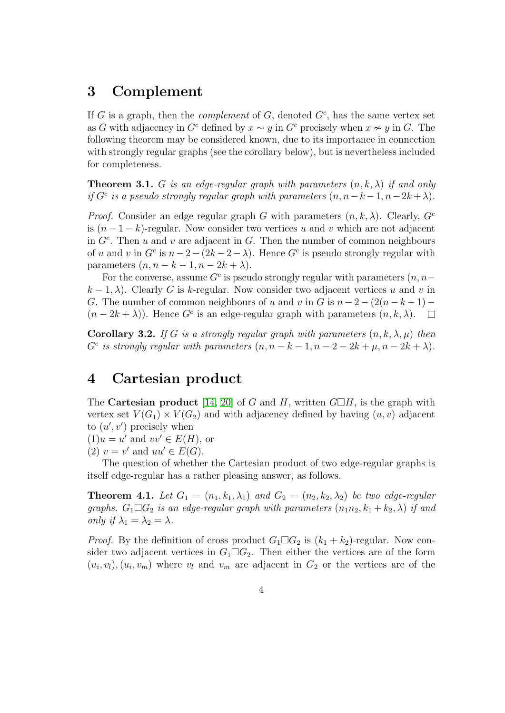#### 3 Complement

If G is a graph, then the *complement* of  $G$ , denoted  $G<sup>c</sup>$ , has the same vertex set as G with adjacency in G<sup>c</sup> defined by  $x \sim y$  in G<sup>c</sup> precisely when  $x \nsim y$  in G. The following theorem may be considered known, due to its importance in connection with strongly regular graphs (see the corollary below), but is nevertheless included for completeness.

<span id="page-3-0"></span>**Theorem 3.1.** G is an edge-regular graph with parameters  $(n, k, \lambda)$  if and only if  $G^c$  is a pseudo strongly regular graph with parameters  $(n, n-k-1, n-2k+\lambda)$ .

*Proof.* Consider an edge regular graph G with parameters  $(n, k, \lambda)$ . Clearly,  $G<sup>c</sup>$ is  $(n-1-k)$ -regular. Now consider two vertices u and v which are not adjacent in  $G<sup>c</sup>$ . Then u and v are adjacent in G. Then the number of common neighbours of u and v in  $G^c$  is  $n-2-(2k-2-\lambda)$ . Hence  $G^c$  is pseudo strongly regular with parameters  $(n, n - k - 1, n - 2k + \lambda)$ .

For the converse, assume  $G<sup>c</sup>$  is pseudo strongly regular with parameters  $(n, n$  $k-1, \lambda$ ). Clearly G is k-regular. Now consider two adjacent vertices u and v in G. The number of common neighbours of u and v in G is  $n-2-(2(n-k-1) (n-2k+\lambda)$ ). Hence G<sup>c</sup> is an edge-regular graph with parameters  $(n, k, \lambda)$ .  $\Box$ 

Corollary 3.2. If G is a strongly regular graph with parameters  $(n, k, \lambda, \mu)$  then  $G^c$  is strongly regular with parameters  $(n, n - k - 1, n - 2 - 2k + \mu, n - 2k + \lambda)$ .

#### 4 Cartesian product

The **Cartesian product** [\[14,](#page-11-7) [20\]](#page-11-8) of G and H, written  $G\Box H$ , is the graph with vertex set  $V(G_1) \times V(G_2)$  and with adjacency defined by having  $(u, v)$  adjacent to  $(u', v')$  precisely when

 $(1)u = u'$  and  $vv' \in E(H)$ , or

(2)  $v = v'$  and  $uu' \in E(G)$ .

The question of whether the Cartesian product of two edge-regular graphs is itself edge-regular has a rather pleasing answer, as follows.

**Theorem 4.1.** Let  $G_1 = (n_1, k_1, \lambda_1)$  and  $G_2 = (n_2, k_2, \lambda_2)$  be two edge-regular graphs.  $G_1 \square G_2$  is an edge-regular graph with parameters  $(n_1n_2, k_1 + k_2, \lambda)$  if and only if  $\lambda_1 = \lambda_2 = \lambda$ .

*Proof.* By the definition of cross product  $G_1 \square G_2$  is  $(k_1 + k_2)$ -regular. Now consider two adjacent vertices in  $G_1 \square G_2$ . Then either the vertices are of the form  $(u_i, v_l), (u_i, v_m)$  where  $v_l$  and  $v_m$  are adjacent in  $G_2$  or the vertices are of the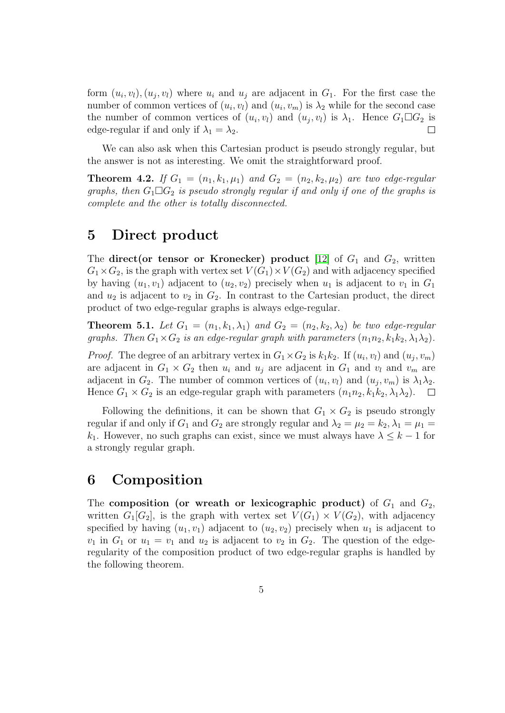form  $(u_i, v_l), (u_j, v_l)$  where  $u_i$  and  $u_j$  are adjacent in  $G_1$ . For the first case the number of common vertices of  $(u_i, v_i)$  and  $(u_i, v_m)$  is  $\lambda_2$  while for the second case the number of common vertices of  $(u_i, v_l)$  and  $(u_j, v_l)$  is  $\lambda_1$ . Hence  $G_1 \Box G_2$  is edge-regular if and only if  $\lambda_1 = \lambda_2$ .  $\Box$ 

We can also ask when this Cartesian product is pseudo strongly regular, but the answer is not as interesting. We omit the straightforward proof.

**Theorem 4.2.** If  $G_1 = (n_1, k_1, \mu_1)$  and  $G_2 = (n_2, k_2, \mu_2)$  are two edge-regular graphs, then  $G_1 \square G_2$  is pseudo strongly regular if and only if one of the graphs is complete and the other is totally disconnected.

#### 5 Direct product

The direct (or tensor or Kronecker) product [\[12\]](#page-11-9) of  $G_1$  and  $G_2$ , written  $G_1\times G_2$ , is the graph with vertex set  $V(G_1)\times V(G_2)$  and with adjacency specified by having  $(u_1, v_1)$  adjacent to  $(u_2, v_2)$  precisely when  $u_1$  is adjacent to  $v_1$  in  $G_1$ and  $u_2$  is adjacent to  $v_2$  in  $G_2$ . In contrast to the Cartesian product, the direct product of two edge-regular graphs is always edge-regular.

**Theorem 5.1.** Let  $G_1 = (n_1, k_1, \lambda_1)$  and  $G_2 = (n_2, k_2, \lambda_2)$  be two edge-regular graphs. Then  $G_1 \times G_2$  is an edge-regular graph with parameters  $(n_1n_2, k_1k_2, \lambda_1\lambda_2)$ .

*Proof.* The degree of an arbitrary vertex in  $G_1 \times G_2$  is  $k_1 k_2$ . If  $(u_i, v_l)$  and  $(u_j, v_m)$ are adjacent in  $G_1 \times G_2$  then  $u_i$  and  $u_j$  are adjacent in  $G_1$  and  $v_l$  and  $v_m$  are adjacent in  $G_2$ . The number of common vertices of  $(u_i, v_l)$  and  $(u_j, v_m)$  is  $\lambda_1 \lambda_2$ . Hence  $G_1 \times G_2$  is an edge-regular graph with parameters  $(n_1n_2, k_1k_2, \lambda_1\lambda_2)$ .  $\Box$ 

Following the definitions, it can be shown that  $G_1 \times G_2$  is pseudo strongly regular if and only if  $G_1$  and  $G_2$  are strongly regular and  $\lambda_2 = \mu_2 = k_2, \lambda_1 = \mu_1 =$  $k_1$ . However, no such graphs can exist, since we must always have  $\lambda \leq k-1$  for a strongly regular graph.

#### 6 Composition

The composition (or wreath or lexicographic product) of  $G_1$  and  $G_2$ , written  $G_1[G_2]$ , is the graph with vertex set  $V(G_1) \times V(G_2)$ , with adjacency specified by having  $(u_1, v_1)$  adjacent to  $(u_2, v_2)$  precisely when  $u_1$  is adjacent to  $v_1$  in  $G_1$  or  $u_1 = v_1$  and  $u_2$  is adjacent to  $v_2$  in  $G_2$ . The question of the edgeregularity of the composition product of two edge-regular graphs is handled by the following theorem.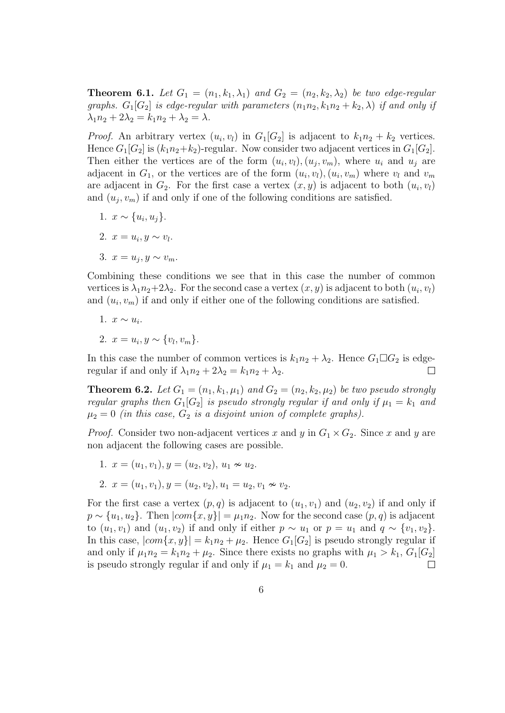**Theorem 6.1.** Let  $G_1 = (n_1, k_1, \lambda_1)$  and  $G_2 = (n_2, k_2, \lambda_2)$  be two edge-regular graphs.  $G_1[G_2]$  is edge-regular with parameters  $(n_1n_2, k_1n_2 + k_2, \lambda)$  if and only if  $\lambda_1 n_2 + 2\lambda_2 = k_1 n_2 + \lambda_2 = \lambda$ .

*Proof.* An arbitrary vertex  $(u_i, v_l)$  in  $G_1[G_2]$  is adjacent to  $k_1n_2 + k_2$  vertices. Hence  $G_1[G_2]$  is  $(k_1n_2+k_2)$ -regular. Now consider two adjacent vertices in  $G_1[G_2]$ . Then either the vertices are of the form  $(u_i, v_l), (u_j, v_m)$ , where  $u_i$  and  $u_j$  are adjacent in  $G_1$ , or the vertices are of the form  $(u_i, v_l)$ ,  $(u_i, v_m)$  where  $v_l$  and  $v_m$ are adjacent in  $G_2$ . For the first case a vertex  $(x, y)$  is adjacent to both  $(u_i, v_i)$ and  $(u_j, v_m)$  if and only if one of the following conditions are satisfied.

- 1.  $x \sim \{u_i, u_j\}.$
- 2.  $x = u_i, y \sim v_l$ .
- 3.  $x = u_j, y \sim v_m$ .

Combining these conditions we see that in this case the number of common vertices is  $\lambda_1 n_2 + 2\lambda_2$ . For the second case a vertex  $(x, y)$  is adjacent to both  $(u_i, v_i)$ and  $(u_i, v_m)$  if and only if either one of the following conditions are satisfied.

1. 
$$
x \sim u_i
$$
.

2.  $x = u_i, y \sim \{v_l, v_m\}.$ 

In this case the number of common vertices is  $k_1n_2 + \lambda_2$ . Hence  $G_1 \square G_2$  is edgeregular if and only if  $\lambda_1 n_2 + 2\lambda_2 = k_1 n_2 + \lambda_2$ .  $\Box$ 

**Theorem 6.2.** Let  $G_1 = (n_1, k_1, \mu_1)$  and  $G_2 = (n_2, k_2, \mu_2)$  be two pseudo strongly regular graphs then  $G_1[G_2]$  is pseudo strongly regular if and only if  $\mu_1 = k_1$  and  $\mu_2 = 0$  (in this case,  $G_2$  is a disjoint union of complete graphs).

*Proof.* Consider two non-adjacent vertices x and y in  $G_1 \times G_2$ . Since x and y are non adjacent the following cases are possible.

- 1.  $x = (u_1, v_1), y = (u_2, v_2), u_1 \approx u_2.$
- 2.  $x = (u_1, v_1), y = (u_2, v_2), u_1 = u_2, v_1 \nsim v_2.$

For the first case a vertex  $(p, q)$  is adjacent to  $(u_1, v_1)$  and  $(u_2, v_2)$  if and only if  $p \sim \{u_1, u_2\}$ . Then  $|com\{x, y\}| = \mu_1 n_2$ . Now for the second case  $(p, q)$  is adjacent to  $(u_1, v_1)$  and  $(u_1, v_2)$  if and only if either  $p \sim u_1$  or  $p = u_1$  and  $q \sim \{v_1, v_2\}.$ In this case,  $|com\{x,y\}| = k_1n_2 + \mu_2$ . Hence  $G_1[G_2]$  is pseudo strongly regular if and only if  $\mu_1 n_2 = k_1 n_2 + \mu_2$ . Since there exists no graphs with  $\mu_1 > k_1$ ,  $G_1[G_2]$ is pseudo strongly regular if and only if  $\mu_1 = k_1$  and  $\mu_2 = 0$ .  $\Box$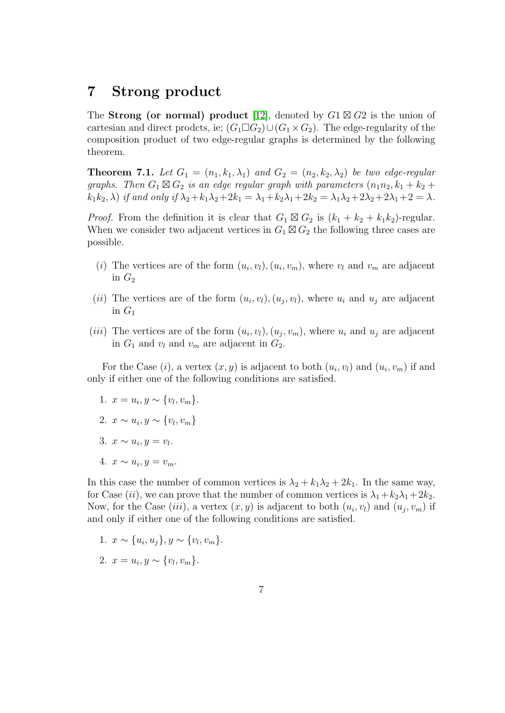#### 7 Strong product

The **Strong (or normal) product** [\[12\]](#page-11-9), denoted by  $G1 \boxtimes G2$  is the union of cartesian and direct prodcts, ie;  $(G_1 \square G_2) \cup (G_1 \times G_2)$ . The edge-regularity of the composition product of two edge-regular graphs is determined by the following theorem.

**Theorem 7.1.** Let  $G_1 = (n_1, k_1, \lambda_1)$  and  $G_2 = (n_2, k_2, \lambda_2)$  be two edge-regular graphs. Then  $G_1 \boxtimes G_2$  is an edge regular graph with parameters  $(n_1n_2, k_1 + k_2 + \cdots)$  $k_1k_2$ ,  $\lambda$ ) if and only if  $\lambda_2 + k_1\lambda_2 + 2k_1 = \lambda_1 + k_2\lambda_1 + 2k_2 = \lambda_1\lambda_2 + 2\lambda_2 + 2\lambda_1 + 2 = \lambda$ .

*Proof.* From the definition it is clear that  $G_1 \boxtimes G_2$  is  $(k_1 + k_2 + k_1k_2)$ -regular. When we consider two adjacent vertices in  $G_1 \boxtimes G_2$  the following three cases are possible.

- (*i*) The vertices are of the form  $(u_i, v_l), (u_i, v_m)$ , where  $v_l$  and  $v_m$  are adjacent in  $G_2$
- (*ii*) The vertices are of the form  $(u_i, v_l), (u_j, v_l)$ , where  $u_i$  and  $u_j$  are adjacent in  $G_1$
- (*iii*) The vertices are of the form  $(u_i, v_l)$ ,  $(u_j, v_m)$ , where  $u_i$  and  $u_j$  are adjacent in  $G_1$  and  $v_l$  and  $v_m$  are adjacent in  $G_2$ .

For the Case  $(i)$ , a vertex  $(x, y)$  is adjacent to both  $(u_i, v_i)$  and  $(u_i, v_m)$  if and only if either one of the following conditions are satisfied.

- 1.  $x = u_i, y \sim \{v_l, v_m\}.$
- 2.  $x \sim u_i, y \sim \{v_l, v_m\}$
- 3.  $x \sim u_i, y = v_l.$
- 4.  $x \sim u_i, y = v_m.$

In this case the number of common vertices is  $\lambda_2 + k_1 \lambda_2 + 2k_1$ . In the same way, for Case (ii), we can prove that the number of common vertices is  $\lambda_1 + k_2 \lambda_1 + 2k_2$ . Now, for the Case (*iii*), a vertex  $(x, y)$  is adjacent to both  $(u_i, v_i)$  and  $(u_j, v_m)$  if and only if either one of the following conditions are satisfied.

1.  $x \sim \{u_i, u_j\}, y \sim \{v_l, v_m\}.$ 

$$
2. \t x = u_i, y \sim \{v_l, v_m\}.
$$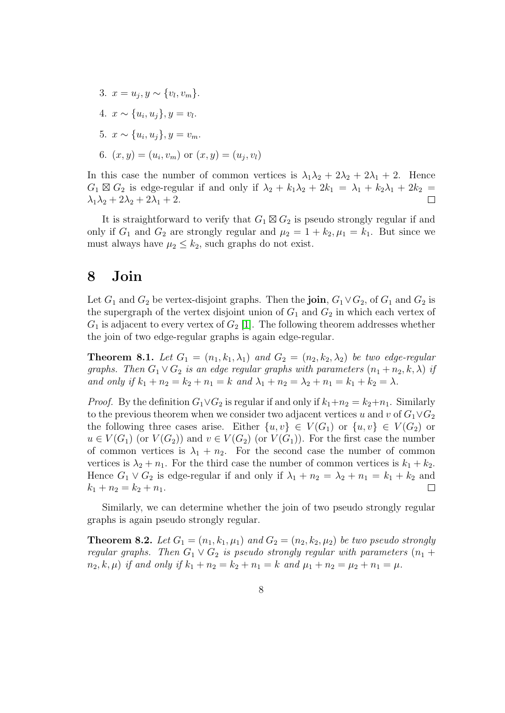3.  $x = u_j, y \sim \{v_l, v_m\}.$ 4.  $x \sim \{u_i, u_j\}, y = v_l.$ 5.  $x \sim \{u_i, u_j\}, y = v_m.$ 6.  $(x, y) = (u_i, v_m)$  or  $(x, y) = (u_j, v_l)$ 

In this case the number of common vertices is  $\lambda_1\lambda_2 + 2\lambda_2 + 2\lambda_1 + 2$ . Hence  $G_1 \boxtimes G_2$  is edge-regular if and only if  $\lambda_2 + k_1\lambda_2 + 2k_1 = \lambda_1 + k_2\lambda_1 + 2k_2 =$  $\lambda_1\lambda_2 + 2\lambda_2 + 2\lambda_1 + 2.$  $\Box$ 

It is straightforward to verify that  $G_1 \boxtimes G_2$  is pseudo strongly regular if and only if  $G_1$  and  $G_2$  are strongly regular and  $\mu_2 = 1 + k_2, \mu_1 = k_1$ . But since we must always have  $\mu_2 \leq k_2$ , such graphs do not exist.

#### <span id="page-7-0"></span>8 Join

Let  $G_1$  and  $G_2$  be vertex-disjoint graphs. Then the **join**,  $G_1 \vee G_2$ , of  $G_1$  and  $G_2$  is the supergraph of the vertex disjoint union of  $G_1$  and  $G_2$  in which each vertex of  $G_1$  is adjacent to every vertex of  $G_2$  [\[1\]](#page-10-4). The following theorem addresses whether the join of two edge-regular graphs is again edge-regular.

<span id="page-7-1"></span>**Theorem 8.1.** Let  $G_1 = (n_1, k_1, \lambda_1)$  and  $G_2 = (n_2, k_2, \lambda_2)$  be two edge-regular graphs. Then  $G_1 \vee G_2$  is an edge regular graphs with parameters  $(n_1 + n_2, k, \lambda)$  if and only if  $k_1 + n_2 = k_2 + n_1 = k$  and  $\lambda_1 + n_2 = \lambda_2 + n_1 = k_1 + k_2 = \lambda$ .

*Proof.* By the definition  $G_1 \vee G_2$  is regular if and only if  $k_1+n_2 = k_2+n_1$ . Similarly to the previous theorem when we consider two adjacent vertices u and v of  $G_1 \vee G_2$ the following three cases arise. Either  $\{u, v\} \in V(G_1)$  or  $\{u, v\} \in V(G_2)$  or  $u \in V(G_1)$  (or  $V(G_2)$ ) and  $v \in V(G_2)$  (or  $V(G_1)$ ). For the first case the number of common vertices is  $\lambda_1 + n_2$ . For the second case the number of common vertices is  $\lambda_2 + n_1$ . For the third case the number of common vertices is  $k_1 + k_2$ . Hence  $G_1 \vee G_2$  is edge-regular if and only if  $\lambda_1 + n_2 = \lambda_2 + n_1 = k_1 + k_2$  and  $k_1 + n_2 = k_2 + n_1.$  $\Box$ 

Similarly, we can determine whether the join of two pseudo strongly regular graphs is again pseudo strongly regular.

**Theorem 8.2.** Let  $G_1 = (n_1, k_1, \mu_1)$  and  $G_2 = (n_2, k_2, \mu_2)$  be two pseudo strongly regular graphs. Then  $G_1 \vee G_2$  is pseudo strongly regular with parameters  $(n_1 +$  $n_2, k, \mu$  if and only if  $k_1 + n_2 = k_2 + n_1 = k$  and  $\mu_1 + n_2 = \mu_2 + n_1 = \mu$ .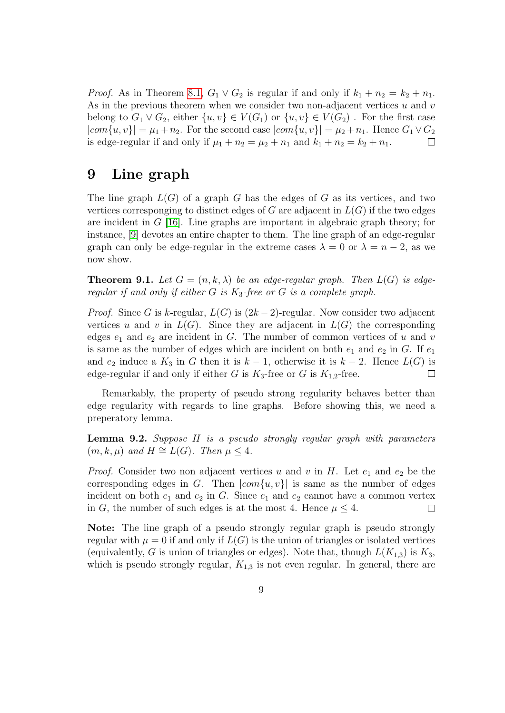*Proof.* As in Theorem [8.1,](#page-7-1)  $G_1 \vee G_2$  is regular if and only if  $k_1 + n_2 = k_2 + n_1$ . As in the previous theorem when we consider two non-adjacent vertices  $u$  and  $v$ belong to  $G_1 \vee G_2$ , either  $\{u, v\} \in V(G_1)$  or  $\{u, v\} \in V(G_2)$ . For the first case  $|com\{u, v\}| = \mu_1 + n_2$ . For the second case  $|com\{u, v\}| = \mu_2 + n_1$ . Hence  $G_1 \vee G_2$ is edge-regular if and only if  $\mu_1 + n_2 = \mu_2 + n_1$  and  $k_1 + n_2 = k_2 + n_1$ .

#### 9 Line graph

The line graph  $L(G)$  of a graph G has the edges of G as its vertices, and two vertices corresponging to distinct edges of G are adjacent in  $L(G)$  if the two edges are incident in  $G$  [\[16\]](#page-11-10). Line graphs are important in algebraic graph theory; for instance, [\[9\]](#page-11-5) devotes an entire chapter to them. The line graph of an edge-regular graph can only be edge-regular in the extreme cases  $\lambda = 0$  or  $\lambda = n - 2$ , as we now show.

**Theorem 9.1.** Let  $G = (n, k, \lambda)$  be an edge-regular graph. Then  $L(G)$  is edgeregular if and only if either G is  $K_3$ -free or G is a complete graph.

*Proof.* Since G is k-regular,  $L(G)$  is  $(2k-2)$ -regular. Now consider two adjacent vertices u and v in  $L(G)$ . Since they are adjacent in  $L(G)$  the corresponding edges  $e_1$  and  $e_2$  are incident in G. The number of common vertices of u and v is same as the number of edges which are incident on both  $e_1$  and  $e_2$  in G. If  $e_1$ and  $e_2$  induce a  $K_3$  in G then it is  $k-1$ , otherwise it is  $k-2$ . Hence  $L(G)$  is edge-regular if and only if either G is  $K_3$ -free or G is  $K_{1,2}$ -free.  $\Box$ 

Remarkably, the property of pseudo strong regularity behaves better than edge regularity with regards to line graphs. Before showing this, we need a preperatory lemma.

<span id="page-8-0"></span>Lemma 9.2. Suppose H is a pseudo strongly regular graph with parameters  $(m, k, \mu)$  and  $H \cong L(G)$ . Then  $\mu \leq 4$ .

*Proof.* Consider two non adjacent vertices u and v in H. Let  $e_1$  and  $e_2$  be the corresponding edges in G. Then  $|com{u, v}|$  is same as the number of edges incident on both  $e_1$  and  $e_2$  in G. Since  $e_1$  and  $e_2$  cannot have a common vertex in G, the number of such edges is at the most 4. Hence  $\mu \leq 4$ .  $\Box$ 

Note: The line graph of a pseudo strongly regular graph is pseudo strongly regular with  $\mu = 0$  if and only if  $L(G)$  is the union of triangles or isolated vertices (equivalently, G is union of triangles or edges). Note that, though  $L(K_{1,3})$  is  $K_3$ , which is pseudo strongly regular,  $K_{1,3}$  is not even regular. In general, there are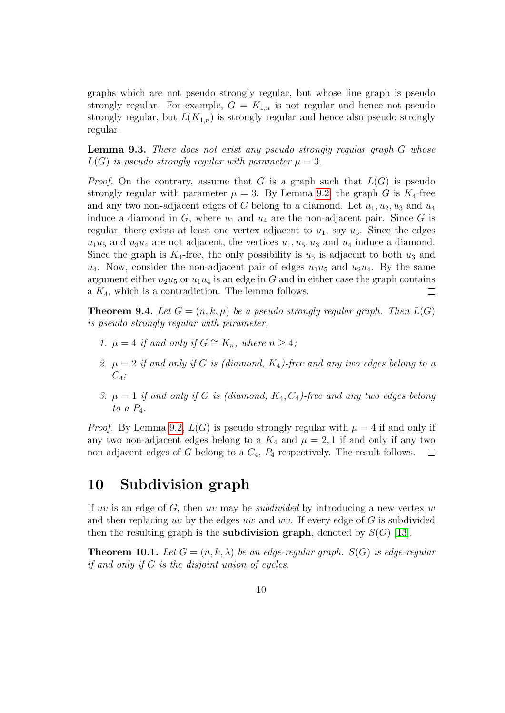graphs which are not pseudo strongly regular, but whose line graph is pseudo strongly regular. For example,  $G = K_{1,n}$  is not regular and hence not pseudo strongly regular, but  $L(K_{1,n})$  is strongly regular and hence also pseudo strongly regular.

Lemma 9.3. There does not exist any pseudo strongly regular graph G whose  $L(G)$  is pseudo strongly regular with parameter  $\mu = 3$ .

*Proof.* On the contrary, assume that G is a graph such that  $L(G)$  is pseudo strongly regular with parameter  $\mu = 3$ . By Lemma [9.2,](#page-8-0) the graph G is  $K_4$ -free and any two non-adjacent edges of G belong to a diamond. Let  $u_1, u_2, u_3$  and  $u_4$ induce a diamond in  $G$ , where  $u_1$  and  $u_4$  are the non-adjacent pair. Since G is regular, there exists at least one vertex adjacent to  $u_1$ , say  $u_5$ . Since the edges  $u_1u_5$  and  $u_3u_4$  are not adjacent, the vertices  $u_1, u_5, u_3$  and  $u_4$  induce a diamond. Since the graph is  $K_4$ -free, the only possibility is  $u_5$  is adjacent to both  $u_3$  and  $u_4$ . Now, consider the non-adjacent pair of edges  $u_1u_5$  and  $u_2u_4$ . By the same argument either  $u_2u_5$  or  $u_1u_4$  is an edge in G and in either case the graph contains a  $K_4$ , which is a contradiction. The lemma follows.  $\Box$ 

**Theorem 9.4.** Let  $G = (n, k, \mu)$  be a pseudo strongly regular graph. Then  $L(G)$ is pseudo strongly regular with parameter,

- 1.  $\mu = 4$  if and only if  $G \cong K_n$ , where  $n \geq 4$ ;
- 2.  $\mu = 2$  if and only if G is (diamond,  $K_4$ )-free and any two edges belong to a  $C_4$ ;
- 3.  $\mu = 1$  if and only if G is (diamond,  $K_4, C_4$ )-free and any two edges belong to a  $P_4$ .

*Proof.* By Lemma [9.2,](#page-8-0)  $L(G)$  is pseudo strongly regular with  $\mu = 4$  if and only if any two non-adjacent edges belong to a  $K_4$  and  $\mu = 2, 1$  if and only if any two non-adjacent edges of G belong to a  $C_4$ ,  $P_4$  respectively. The result follows.  $\Box$ 

#### 10 Subdivision graph

If uv is an edge of  $G$ , then uv may be *subdivided* by introducing a new vertex w and then replacing uv by the edges uw and wv. If every edge of  $G$  is subdivided then the resulting graph is the **subdivision graph**, denoted by  $S(G)$  [\[13\]](#page-11-11).

**Theorem 10.1.** Let  $G = (n, k, \lambda)$  be an edge-regular graph.  $S(G)$  is edge-regular if and only if G is the disjoint union of cycles.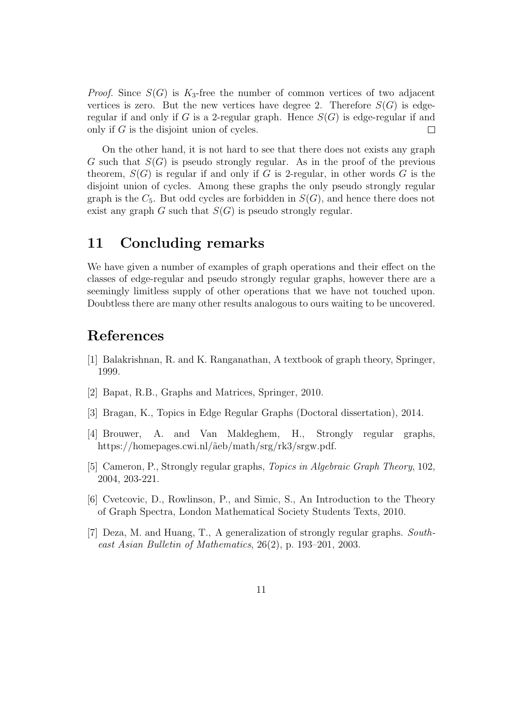*Proof.* Since  $S(G)$  is  $K_3$ -free the number of common vertices of two adjacent vertices is zero. But the new vertices have degree 2. Therefore  $S(G)$  is edgeregular if and only if G is a 2-regular graph. Hence  $S(G)$  is edge-regular if and only if G is the disjoint union of cycles.  $\Box$ 

On the other hand, it is not hard to see that there does not exists any graph G such that  $S(G)$  is pseudo strongly regular. As in the proof of the previous theorem,  $S(G)$  is regular if and only if G is 2-regular, in other words G is the disjoint union of cycles. Among these graphs the only pseudo strongly regular graph is the  $C_5$ . But odd cycles are forbidden in  $S(G)$ , and hence there does not exist any graph  $G$  such that  $S(G)$  is pseudo strongly regular.

#### 11 Concluding remarks

We have given a number of examples of graph operations and their effect on the classes of edge-regular and pseudo strongly regular graphs, however there are a seemingly limitless supply of other operations that we have not touched upon. Doubtless there are many other results analogous to ours waiting to be uncovered.

#### References

- <span id="page-10-4"></span>[1] Balakrishnan, R. and K. Ranganathan, A textbook of graph theory, Springer, 1999.
- <span id="page-10-0"></span>[2] Bapat, R.B., Graphs and Matrices, Springer, 2010.
- <span id="page-10-6"></span>[3] Bragan, K., Topics in Edge Regular Graphs (Doctoral dissertation), 2014.
- <span id="page-10-2"></span>[4] Brouwer, A. and Van Maldeghem, H., Strongly regular graphs, https://homepages.cwi.nl/ $\tilde{a}$ eb/math/srg/rk3/srgw.pdf.
- <span id="page-10-3"></span>[5] Cameron, P., Strongly regular graphs, Topics in Algebraic Graph Theory, 102, 2004, 203-221.
- <span id="page-10-5"></span>[6] Cvetcovic, D., Rowlinson, P., and Simic, S., An Introduction to the Theory of Graph Spectra, London Mathematical Society Students Texts, 2010.
- <span id="page-10-1"></span>[7] Deza, M. and Huang, T., A generalization of strongly regular graphs. Southeast Asian Bulletin of Mathematics, 26(2), p. 193–201, 2003.